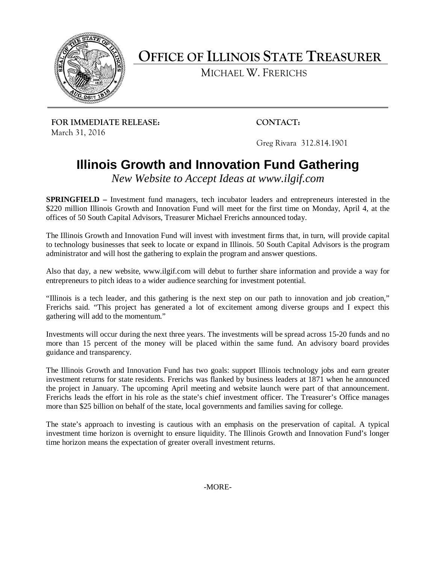

**OFFICE OF ILLINOIS STATE TREASURER**

MICHAEL W. FRERICHS

**FOR IMMEDIATE RELEASE: CONTACT:** March 31, 2016

Greg Rivara 312.814.1901

## **Illinois Growth and Innovation Fund Gathering**

*New Website to Accept Ideas at www.ilgif.com*

**SPRINGFIELD –** Investment fund managers, tech incubator leaders and entrepreneurs interested in the \$220 million Illinois Growth and Innovation Fund will meet for the first time on Monday, April 4, at the offices of 50 South Capital Advisors, Treasurer Michael Frerichs announced today.

The Illinois Growth and Innovation Fund will invest with investment firms that, in turn, will provide capital to technology businesses that seek to locate or expand in Illinois. 50 South Capital Advisors is the program administrator and will host the gathering to explain the program and answer questions.

Also that day, a new website, www.ilgif.com will debut to further share information and provide a way for entrepreneurs to pitch ideas to a wider audience searching for investment potential.

"Illinois is a tech leader, and this gathering is the next step on our path to innovation and job creation," Frerichs said. "This project has generated a lot of excitement among diverse groups and I expect this gathering will add to the momentum."

Investments will occur during the next three years. The investments will be spread across 15-20 funds and no more than 15 percent of the money will be placed within the same fund. An advisory board provides guidance and transparency.

The Illinois Growth and Innovation Fund has two goals: support Illinois technology jobs and earn greater investment returns for state residents. Frerichs was flanked by business leaders at 1871 when he announced the project in January. The upcoming April meeting and website launch were part of that announcement. Frerichs leads the effort in his role as the state's chief investment officer. The Treasurer's Office manages more than \$25 billion on behalf of the state, local governments and families saving for college.

The state's approach to investing is cautious with an emphasis on the preservation of capital. A typical investment time horizon is overnight to ensure liquidity. The Illinois Growth and Innovation Fund's longer time horizon means the expectation of greater overall investment returns.

-MORE-